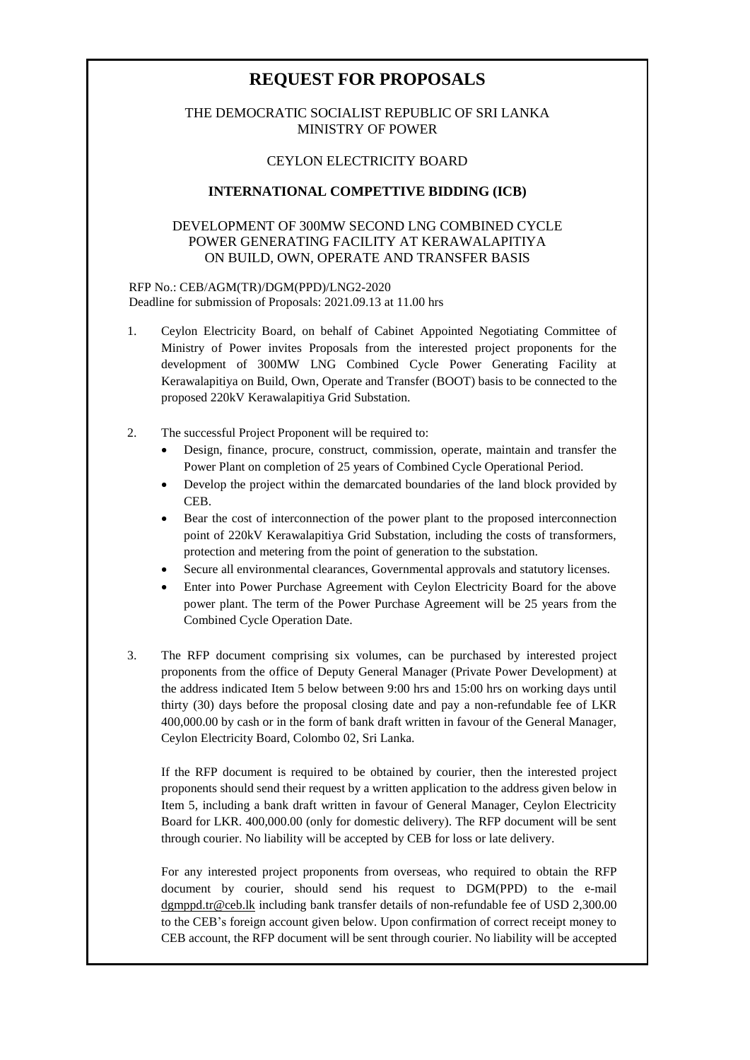# **REQUEST FOR PROPOSALS**

# THE DEMOCRATIC SOCIALIST REPUBLIC OF SRI LANKA MINISTRY OF POWER

### CEYLON ELECTRICITY BOARD

### **INTERNATIONAL COMPETTIVE BIDDING (ICB)**

# DEVELOPMENT OF 300MW SECOND LNG COMBINED CYCLE POWER GENERATING FACILITY AT KERAWALAPITIYA ON BUILD, OWN, OPERATE AND TRANSFER BASIS

#### RFP No.: CEB/AGM(TR)/DGM(PPD)/LNG2-2020 Deadline for submission of Proposals: 2021.09.13 at 11.00 hrs

- 1. Ceylon Electricity Board, on behalf of Cabinet Appointed Negotiating Committee of Ministry of Power invites Proposals from the interested project proponents for the development of 300MW LNG Combined Cycle Power Generating Facility at Kerawalapitiya on Build, Own, Operate and Transfer (BOOT) basis to be connected to the proposed 220kV Kerawalapitiya Grid Substation.
- 2. The successful Project Proponent will be required to:
	- Design, finance, procure, construct, commission, operate, maintain and transfer the Power Plant on completion of 25 years of Combined Cycle Operational Period.
	- Develop the project within the demarcated boundaries of the land block provided by CEB.
	- Bear the cost of interconnection of the power plant to the proposed interconnection point of 220kV Kerawalapitiya Grid Substation, including the costs of transformers, protection and metering from the point of generation to the substation.
	- Secure all environmental clearances, Governmental approvals and statutory licenses.
	- Enter into Power Purchase Agreement with Ceylon Electricity Board for the above power plant. The term of the Power Purchase Agreement will be 25 years from the Combined Cycle Operation Date.
- 3. The RFP document comprising six volumes, can be purchased by interested project proponents from the office of Deputy General Manager (Private Power Development) at the address indicated Item 5 below between 9:00 hrs and 15:00 hrs on working days until thirty (30) days before the proposal closing date and pay a non-refundable fee of LKR 400,000.00 by cash or in the form of bank draft written in favour of the General Manager, Ceylon Electricity Board, Colombo 02, Sri Lanka.

If the RFP document is required to be obtained by courier, then the interested project proponents should send their request by a written application to the address given below in Item 5, including a bank draft written in favour of General Manager, Ceylon Electricity Board for LKR. 400,000.00 (only for domestic delivery). The RFP document will be sent through courier. No liability will be accepted by CEB for loss or late delivery.

For any interested project proponents from overseas, who required to obtain the RFP document by courier, should send his request to DGM(PPD) to the e-mail [dgmppd.tr@ceb.lk](mailto:dgmppd.tr@ceb.lk) including bank transfer details of non-refundable fee of USD 2,300.00 to the CEB's foreign account given below. Upon confirmation of correct receipt money to CEB account, the RFP document will be sent through courier. No liability will be accepted